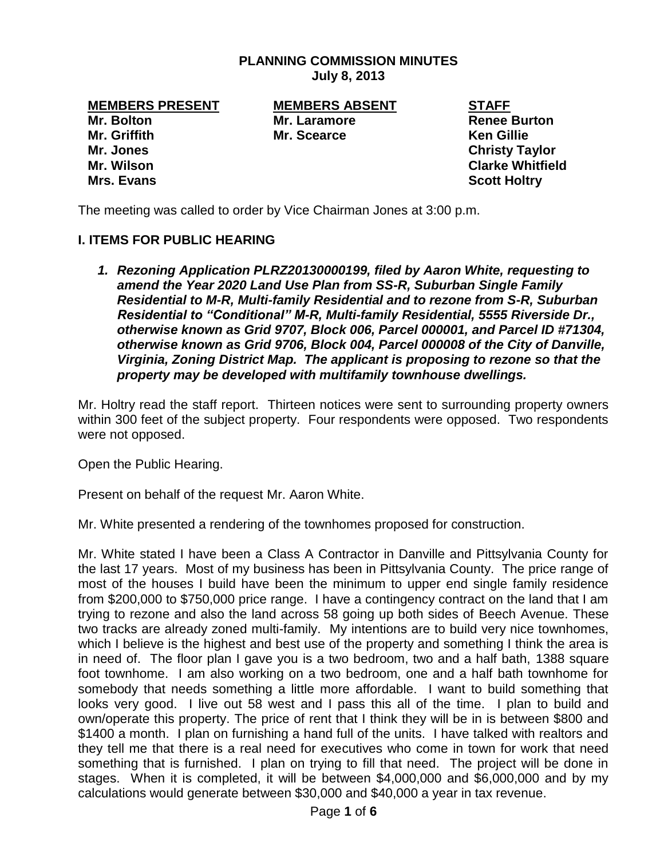#### **PLANNING COMMISSION MINUTES July 8, 2013**

**Mr. Bolton Mr. Laramore Renee Burton Mr. Griffith Mr. Scearce Ken Gillie Mr. Jones Christy Taylor Mr. Wilson Clarke Whitfield Mrs. Evans Scott Holtry** 

**MEMBERS PRESENT MEMBERS ABSENT STAFF**

The meeting was called to order by Vice Chairman Jones at 3:00 p.m.

# **I. ITEMS FOR PUBLIC HEARING**

*1. Rezoning Application PLRZ20130000199, filed by Aaron White, requesting to amend the Year 2020 Land Use Plan from SS-R, Suburban Single Family Residential to M-R, Multi-family Residential and to rezone from S-R, Suburban Residential to "Conditional" M-R, Multi-family Residential, 5555 Riverside Dr., otherwise known as Grid 9707, Block 006, Parcel 000001, and Parcel ID #71304, otherwise known as Grid 9706, Block 004, Parcel 000008 of the City of Danville, Virginia, Zoning District Map. The applicant is proposing to rezone so that the property may be developed with multifamily townhouse dwellings.* 

Mr. Holtry read the staff report. Thirteen notices were sent to surrounding property owners within 300 feet of the subject property. Four respondents were opposed. Two respondents were not opposed.

Open the Public Hearing.

Present on behalf of the request Mr. Aaron White.

Mr. White presented a rendering of the townhomes proposed for construction.

Mr. White stated I have been a Class A Contractor in Danville and Pittsylvania County for the last 17 years. Most of my business has been in Pittsylvania County. The price range of most of the houses I build have been the minimum to upper end single family residence from \$200,000 to \$750,000 price range. I have a contingency contract on the land that I am trying to rezone and also the land across 58 going up both sides of Beech Avenue. These two tracks are already zoned multi-family. My intentions are to build very nice townhomes, which I believe is the highest and best use of the property and something I think the area is in need of. The floor plan I gave you is a two bedroom, two and a half bath, 1388 square foot townhome. I am also working on a two bedroom, one and a half bath townhome for somebody that needs something a little more affordable. I want to build something that looks very good. I live out 58 west and I pass this all of the time. I plan to build and own/operate this property. The price of rent that I think they will be in is between \$800 and \$1400 a month. I plan on furnishing a hand full of the units. I have talked with realtors and they tell me that there is a real need for executives who come in town for work that need something that is furnished. I plan on trying to fill that need. The project will be done in stages. When it is completed, it will be between \$4,000,000 and \$6,000,000 and by my calculations would generate between \$30,000 and \$40,000 a year in tax revenue.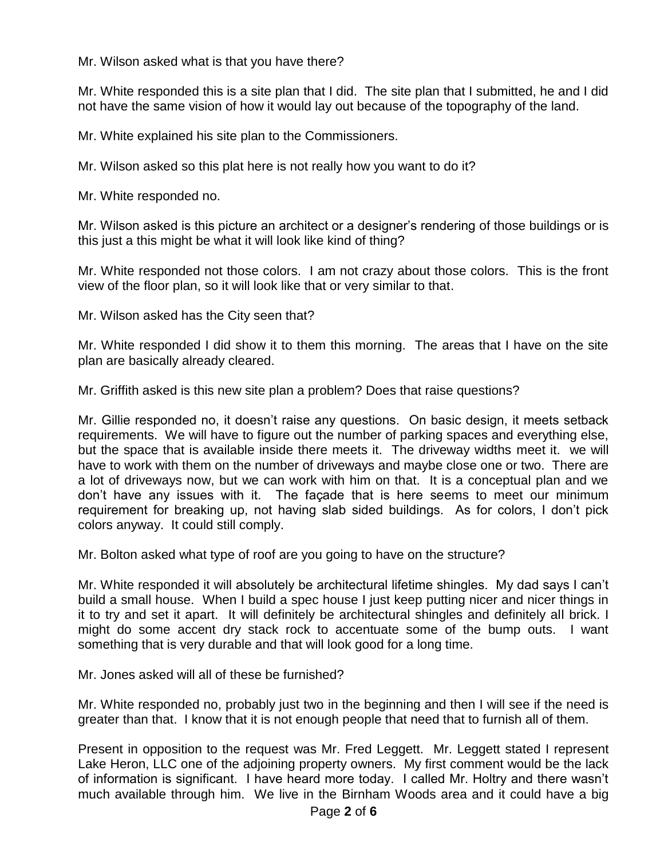Mr. Wilson asked what is that you have there?

Mr. White responded this is a site plan that I did. The site plan that I submitted, he and I did not have the same vision of how it would lay out because of the topography of the land.

Mr. White explained his site plan to the Commissioners.

Mr. Wilson asked so this plat here is not really how you want to do it?

Mr. White responded no.

Mr. Wilson asked is this picture an architect or a designer's rendering of those buildings or is this just a this might be what it will look like kind of thing?

Mr. White responded not those colors. I am not crazy about those colors. This is the front view of the floor plan, so it will look like that or very similar to that.

Mr. Wilson asked has the City seen that?

Mr. White responded I did show it to them this morning. The areas that I have on the site plan are basically already cleared.

Mr. Griffith asked is this new site plan a problem? Does that raise questions?

Mr. Gillie responded no, it doesn't raise any questions. On basic design, it meets setback requirements. We will have to figure out the number of parking spaces and everything else, but the space that is available inside there meets it. The driveway widths meet it. we will have to work with them on the number of driveways and maybe close one or two. There are a lot of driveways now, but we can work with him on that. It is a conceptual plan and we don't have any issues with it. The façade that is here seems to meet our minimum requirement for breaking up, not having slab sided buildings. As for colors, I don't pick colors anyway. It could still comply.

Mr. Bolton asked what type of roof are you going to have on the structure?

Mr. White responded it will absolutely be architectural lifetime shingles. My dad says I can't build a small house. When I build a spec house I just keep putting nicer and nicer things in it to try and set it apart. It will definitely be architectural shingles and definitely all brick. I might do some accent dry stack rock to accentuate some of the bump outs. I want something that is very durable and that will look good for a long time.

Mr. Jones asked will all of these be furnished?

Mr. White responded no, probably just two in the beginning and then I will see if the need is greater than that. I know that it is not enough people that need that to furnish all of them.

Present in opposition to the request was Mr. Fred Leggett. Mr. Leggett stated I represent Lake Heron, LLC one of the adjoining property owners. My first comment would be the lack of information is significant. I have heard more today. I called Mr. Holtry and there wasn't much available through him. We live in the Birnham Woods area and it could have a big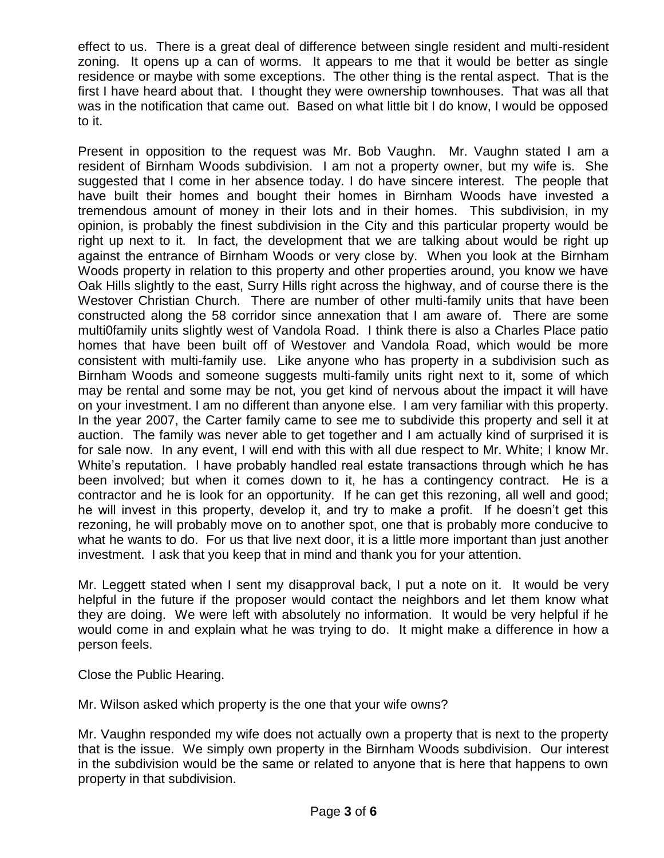effect to us. There is a great deal of difference between single resident and multi-resident zoning. It opens up a can of worms. It appears to me that it would be better as single residence or maybe with some exceptions. The other thing is the rental aspect. That is the first I have heard about that. I thought they were ownership townhouses. That was all that was in the notification that came out. Based on what little bit I do know, I would be opposed to it.

Present in opposition to the request was Mr. Bob Vaughn. Mr. Vaughn stated I am a resident of Birnham Woods subdivision. I am not a property owner, but my wife is. She suggested that I come in her absence today. I do have sincere interest. The people that have built their homes and bought their homes in Birnham Woods have invested a tremendous amount of money in their lots and in their homes. This subdivision, in my opinion, is probably the finest subdivision in the City and this particular property would be right up next to it. In fact, the development that we are talking about would be right up against the entrance of Birnham Woods or very close by. When you look at the Birnham Woods property in relation to this property and other properties around, you know we have Oak Hills slightly to the east, Surry Hills right across the highway, and of course there is the Westover Christian Church. There are number of other multi-family units that have been constructed along the 58 corridor since annexation that I am aware of. There are some multi0family units slightly west of Vandola Road. I think there is also a Charles Place patio homes that have been built off of Westover and Vandola Road, which would be more consistent with multi-family use. Like anyone who has property in a subdivision such as Birnham Woods and someone suggests multi-family units right next to it, some of which may be rental and some may be not, you get kind of nervous about the impact it will have on your investment. I am no different than anyone else. I am very familiar with this property. In the year 2007, the Carter family came to see me to subdivide this property and sell it at auction. The family was never able to get together and I am actually kind of surprised it is for sale now. In any event, I will end with this with all due respect to Mr. White; I know Mr. White's reputation. I have probably handled real estate transactions through which he has been involved; but when it comes down to it, he has a contingency contract. He is a contractor and he is look for an opportunity. If he can get this rezoning, all well and good; he will invest in this property, develop it, and try to make a profit. If he doesn't get this rezoning, he will probably move on to another spot, one that is probably more conducive to what he wants to do. For us that live next door, it is a little more important than just another investment. I ask that you keep that in mind and thank you for your attention.

Mr. Leggett stated when I sent my disapproval back, I put a note on it. It would be very helpful in the future if the proposer would contact the neighbors and let them know what they are doing. We were left with absolutely no information. It would be very helpful if he would come in and explain what he was trying to do. It might make a difference in how a person feels.

Close the Public Hearing.

Mr. Wilson asked which property is the one that your wife owns?

Mr. Vaughn responded my wife does not actually own a property that is next to the property that is the issue. We simply own property in the Birnham Woods subdivision. Our interest in the subdivision would be the same or related to anyone that is here that happens to own property in that subdivision.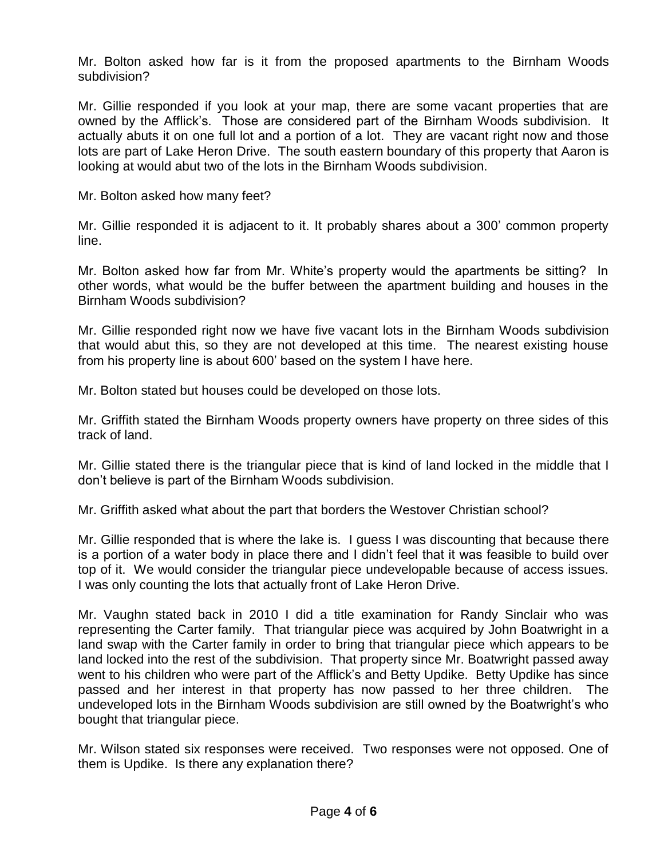Mr. Bolton asked how far is it from the proposed apartments to the Birnham Woods subdivision?

Mr. Gillie responded if you look at your map, there are some vacant properties that are owned by the Afflick's. Those are considered part of the Birnham Woods subdivision. It actually abuts it on one full lot and a portion of a lot. They are vacant right now and those lots are part of Lake Heron Drive. The south eastern boundary of this property that Aaron is looking at would abut two of the lots in the Birnham Woods subdivision.

Mr. Bolton asked how many feet?

Mr. Gillie responded it is adjacent to it. It probably shares about a 300' common property line.

Mr. Bolton asked how far from Mr. White's property would the apartments be sitting? In other words, what would be the buffer between the apartment building and houses in the Birnham Woods subdivision?

Mr. Gillie responded right now we have five vacant lots in the Birnham Woods subdivision that would abut this, so they are not developed at this time. The nearest existing house from his property line is about 600' based on the system I have here.

Mr. Bolton stated but houses could be developed on those lots.

Mr. Griffith stated the Birnham Woods property owners have property on three sides of this track of land.

Mr. Gillie stated there is the triangular piece that is kind of land locked in the middle that I don't believe is part of the Birnham Woods subdivision.

Mr. Griffith asked what about the part that borders the Westover Christian school?

Mr. Gillie responded that is where the lake is. I guess I was discounting that because there is a portion of a water body in place there and I didn't feel that it was feasible to build over top of it. We would consider the triangular piece undevelopable because of access issues. I was only counting the lots that actually front of Lake Heron Drive.

Mr. Vaughn stated back in 2010 I did a title examination for Randy Sinclair who was representing the Carter family. That triangular piece was acquired by John Boatwright in a land swap with the Carter family in order to bring that triangular piece which appears to be land locked into the rest of the subdivision. That property since Mr. Boatwright passed away went to his children who were part of the Afflick's and Betty Updike. Betty Updike has since passed and her interest in that property has now passed to her three children. The undeveloped lots in the Birnham Woods subdivision are still owned by the Boatwright's who bought that triangular piece.

Mr. Wilson stated six responses were received. Two responses were not opposed. One of them is Updike. Is there any explanation there?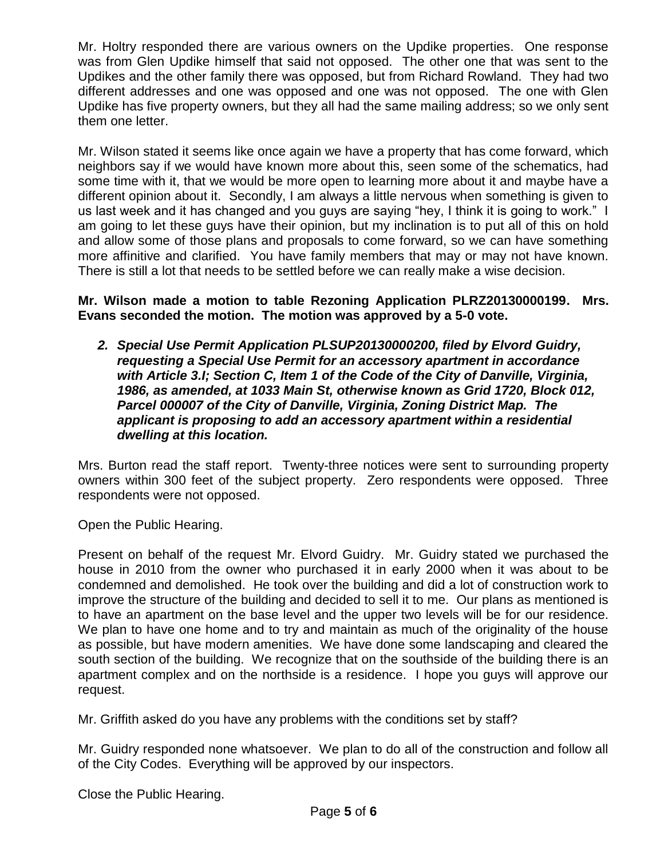Mr. Holtry responded there are various owners on the Updike properties. One response was from Glen Updike himself that said not opposed. The other one that was sent to the Updikes and the other family there was opposed, but from Richard Rowland. They had two different addresses and one was opposed and one was not opposed. The one with Glen Updike has five property owners, but they all had the same mailing address; so we only sent them one letter.

Mr. Wilson stated it seems like once again we have a property that has come forward, which neighbors say if we would have known more about this, seen some of the schematics, had some time with it, that we would be more open to learning more about it and maybe have a different opinion about it. Secondly, I am always a little nervous when something is given to us last week and it has changed and you guys are saying "hey, I think it is going to work." I am going to let these guys have their opinion, but my inclination is to put all of this on hold and allow some of those plans and proposals to come forward, so we can have something more affinitive and clarified. You have family members that may or may not have known. There is still a lot that needs to be settled before we can really make a wise decision.

#### **Mr. Wilson made a motion to table Rezoning Application PLRZ20130000199. Mrs. Evans seconded the motion. The motion was approved by a 5-0 vote.**

*2. Special Use Permit Application PLSUP20130000200, filed by Elvord Guidry, requesting a Special Use Permit for an accessory apartment in accordance with Article 3.I; Section C, Item 1 of the Code of the City of Danville, Virginia, 1986, as amended, at 1033 Main St, otherwise known as Grid 1720, Block 012, Parcel 000007 of the City of Danville, Virginia, Zoning District Map. The applicant is proposing to add an accessory apartment within a residential dwelling at this location.*

Mrs. Burton read the staff report. Twenty-three notices were sent to surrounding property owners within 300 feet of the subject property. Zero respondents were opposed. Three respondents were not opposed.

Open the Public Hearing.

Present on behalf of the request Mr. Elvord Guidry. Mr. Guidry stated we purchased the house in 2010 from the owner who purchased it in early 2000 when it was about to be condemned and demolished. He took over the building and did a lot of construction work to improve the structure of the building and decided to sell it to me. Our plans as mentioned is to have an apartment on the base level and the upper two levels will be for our residence. We plan to have one home and to try and maintain as much of the originality of the house as possible, but have modern amenities. We have done some landscaping and cleared the south section of the building. We recognize that on the southside of the building there is an apartment complex and on the northside is a residence. I hope you guys will approve our request.

Mr. Griffith asked do you have any problems with the conditions set by staff?

Mr. Guidry responded none whatsoever. We plan to do all of the construction and follow all of the City Codes. Everything will be approved by our inspectors.

Close the Public Hearing.